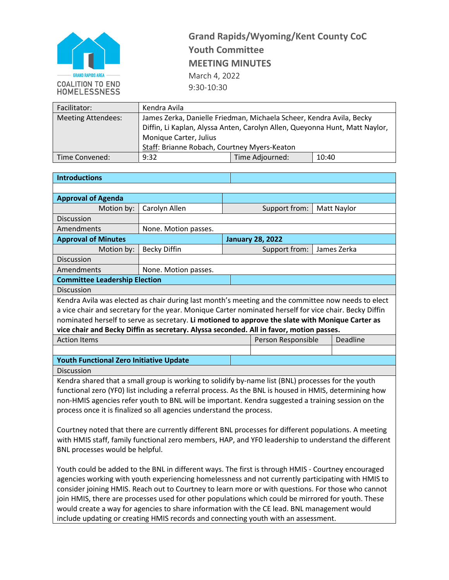

## **Grand Rapids/Wyoming/Kent County CoC Youth Committee MEETING MINUTES** March 4, 2022 9:30-10:30

| Facilitator:              | Kendra Avila                                                                |                 |       |  |  |
|---------------------------|-----------------------------------------------------------------------------|-----------------|-------|--|--|
| <b>Meeting Attendees:</b> | James Zerka, Danielle Friedman, Michaela Scheer, Kendra Avila, Becky        |                 |       |  |  |
|                           | Diffin, Li Kaplan, Alyssa Anten, Carolyn Allen, Queyonna Hunt, Matt Naylor, |                 |       |  |  |
|                           | Monique Carter, Julius                                                      |                 |       |  |  |
|                           | Staff: Brianne Robach, Courtney Myers-Keaton                                |                 |       |  |  |
| Time Convened:            | 9:32                                                                        | Time Adjourned: | 10:40 |  |  |

| <b>Introductions</b>                                                                                                                                                                                     |                                                                                                        |  |                         |             |             |
|----------------------------------------------------------------------------------------------------------------------------------------------------------------------------------------------------------|--------------------------------------------------------------------------------------------------------|--|-------------------------|-------------|-------------|
|                                                                                                                                                                                                          |                                                                                                        |  |                         |             |             |
| <b>Approval of Agenda</b>                                                                                                                                                                                |                                                                                                        |  |                         |             |             |
| Motion by:                                                                                                                                                                                               | Carolyn Allen                                                                                          |  | Support from:           | Matt Naylor |             |
| <b>Discussion</b>                                                                                                                                                                                        |                                                                                                        |  |                         |             |             |
| Amendments                                                                                                                                                                                               | None. Motion passes.                                                                                   |  |                         |             |             |
| <b>Approval of Minutes</b>                                                                                                                                                                               |                                                                                                        |  | <b>January 28, 2022</b> |             |             |
| Motion by:                                                                                                                                                                                               | <b>Becky Diffin</b>                                                                                    |  | Support from:           |             | James Zerka |
| Discussion                                                                                                                                                                                               |                                                                                                        |  |                         |             |             |
| Amendments                                                                                                                                                                                               | None. Motion passes.                                                                                   |  |                         |             |             |
| <b>Committee Leadership Election</b>                                                                                                                                                                     |                                                                                                        |  |                         |             |             |
| Discussion                                                                                                                                                                                               |                                                                                                        |  |                         |             |             |
|                                                                                                                                                                                                          | Kendra Avila was elected as chair during last month's meeting and the committee now needs to elect     |  |                         |             |             |
|                                                                                                                                                                                                          | a vice chair and secretary for the year. Monique Carter nominated herself for vice chair. Becky Diffin |  |                         |             |             |
|                                                                                                                                                                                                          | nominated herself to serve as secretary. Li motioned to approve the slate with Monique Carter as       |  |                         |             |             |
|                                                                                                                                                                                                          | vice chair and Becky Diffin as secretary. Alyssa seconded. All in favor, motion passes.                |  |                         |             |             |
| Deadline<br><b>Action Items</b><br>Person Responsible                                                                                                                                                    |                                                                                                        |  |                         |             |             |
|                                                                                                                                                                                                          |                                                                                                        |  |                         |             |             |
| <b>Youth Functional Zero Initiative Update</b>                                                                                                                                                           |                                                                                                        |  |                         |             |             |
| Discussion                                                                                                                                                                                               |                                                                                                        |  |                         |             |             |
|                                                                                                                                                                                                          | Kendra shared that a small group is working to solidify by-name list (BNL) processes for the youth     |  |                         |             |             |
|                                                                                                                                                                                                          | functional zero (YFO) list including a referral process. As the BNL is housed in HMIS, determining how |  |                         |             |             |
|                                                                                                                                                                                                          | non-HMIS agencies refer youth to BNL will be important. Kendra suggested a training session on the     |  |                         |             |             |
|                                                                                                                                                                                                          | process once it is finalized so all agencies understand the process.                                   |  |                         |             |             |
|                                                                                                                                                                                                          |                                                                                                        |  |                         |             |             |
| Courtney noted that there are currently different BNL processes for different populations. A meeting                                                                                                     |                                                                                                        |  |                         |             |             |
| with HMIS staff, family functional zero members, HAP, and YFO leadership to understand the different                                                                                                     |                                                                                                        |  |                         |             |             |
| BNL processes would be helpful.                                                                                                                                                                          |                                                                                                        |  |                         |             |             |
|                                                                                                                                                                                                          |                                                                                                        |  |                         |             |             |
| Youth could be added to the BNL in different ways. The first is through HMIS - Courtney encouraged<br>agencies working with youth experiencing homelessness and not currently participating with HMIS to |                                                                                                        |  |                         |             |             |
| consider joining HMIS. Reach out to Courtney to learn more or with questions. For those who cannot                                                                                                       |                                                                                                        |  |                         |             |             |
| join HMIS, there are processes used for other populations which could be mirrored for youth. These                                                                                                       |                                                                                                        |  |                         |             |             |
| would create a way for agencies to share information with the CE lead. BNL management would                                                                                                              |                                                                                                        |  |                         |             |             |
|                                                                                                                                                                                                          |                                                                                                        |  |                         |             |             |

include updating or creating HMIS records and connecting youth with an assessment.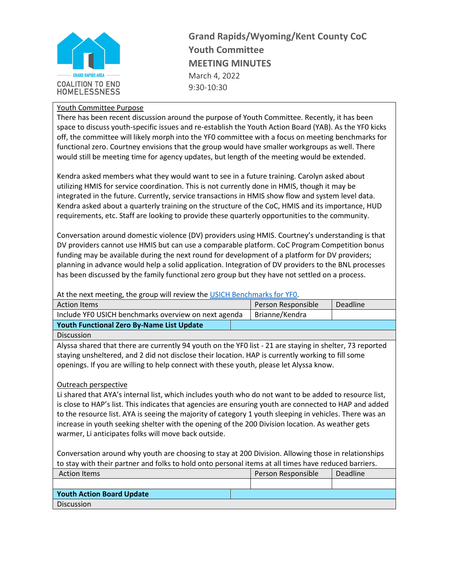

**Grand Rapids/Wyoming/Kent County CoC Youth Committee MEETING MINUTES** March 4, 2022 9:30-10:30

## Youth Committee Purpose

There has been recent discussion around the purpose of Youth Committee. Recently, it has been space to discuss youth-specific issues and re-establish the Youth Action Board (YAB). As the YF0 kicks off, the committee will likely morph into the YF0 committee with a focus on meeting benchmarks for functional zero. Courtney envisions that the group would have smaller workgroups as well. There would still be meeting time for agency updates, but length of the meeting would be extended.

Kendra asked members what they would want to see in a future training. Carolyn asked about utilizing HMIS for service coordination. This is not currently done in HMIS, though it may be integrated in the future. Currently, service transactions in HMIS show flow and system level data. Kendra asked about a quarterly training on the structure of the CoC, HMIS and its importance, HUD requirements, etc. Staff are looking to provide these quarterly opportunities to the community.

Conversation around domestic violence (DV) providers using HMIS. Courtney's understanding is that DV providers cannot use HMIS but can use a comparable platform. CoC Program Competition bonus funding may be available during the next round for development of a platform for DV providers; planning in advance would help a solid application. Integration of DV providers to the BNL processes has been discussed by the family functional zero group but they have not settled on a process.

## At the next meeting, the group will review the [USICH Benchmarks for YF0.](https://www.usich.gov/resources/uploads/asset_library/Youth-Criteria-and-Benchmarks-revised-Feb-2018.pdf)

| <b>Action Items</b>                                  | Person Responsible | <b>Deadline</b> |
|------------------------------------------------------|--------------------|-----------------|
| Include YFO USICH benchmarks overview on next agenda | Brianne/Kendra     |                 |
| Youth Functional Zero By-Name List Update            |                    |                 |

Discussion

Alyssa shared that there are currently 94 youth on the YF0 list - 21 are staying in shelter, 73 reported staying unsheltered, and 2 did not disclose their location. HAP is currently working to fill some openings. If you are willing to help connect with these youth, please let Alyssa know.

## Outreach perspective

Li shared that AYA's internal list, which includes youth who do not want to be added to resource list, is close to HAP's list. This indicates that agencies are ensuring youth are connected to HAP and added to the resource list. AYA is seeing the majority of category 1 youth sleeping in vehicles. There was an increase in youth seeking shelter with the opening of the 200 Division location. As weather gets warmer, Li anticipates folks will move back outside.

Conversation around why youth are choosing to stay at 200 Division. Allowing those in relationships to stay with their partner and folks to hold onto personal items at all times have reduced barriers.

| <b>Action Items</b>              | Person Responsible | Deadline |
|----------------------------------|--------------------|----------|
|                                  |                    |          |
| <b>Youth Action Board Update</b> |                    |          |
| <b>Discussion</b>                |                    |          |